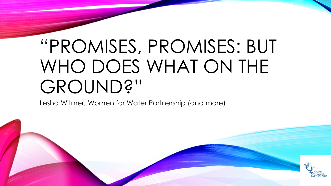# "PROMISES, PROMISES: BUT WHO DOES WHAT ON THE GROUND?"

Lesha Witmer, Women for Water Partnership (and more)

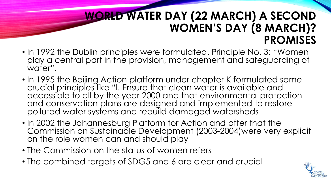#### **WORLD WATER DAY (22 MARCH) A SECOND WOMEN'S DAY (8 MARCH)? PROMISES**

- In 1992 the Dublin principles were formulated. Principle No. 3: "Women play a central part in the provision, management and safeguarding of water".
- In 1995 the Beijing Action platform under chapter K formulated some crucial principles like "I. Ensure that clean water is available and accessible to all by the year 2000 and that environmental protection and conservation plans are designed and implemented to restore polluted water systems and rebuild damaged watersheds
- In 2002 the Johannesburg Platform for Action and after that the Commission on Sustainable Development (2003-2004)were very explicit on the role women can and should play
- The Commission on the status of women refers
- The combined targets of SDG5 and 6 are clear and crucial

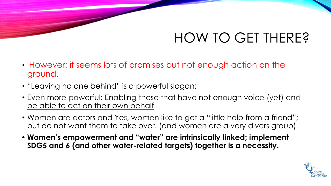## HOW TO GET THERE?

- However: it seems lots of promises but not enough action on the ground.
- "Leaving no one behind" is a powerful slogan;
- Even more powerful: Enabling those that have not enough voice (yet) and be able to act on their own behalf
- Women are actors and Yes, women like to get a "little help from a friend"; but do not want them to take over. (and women are a very divers group)
- **• Women's empowerment and "water" are intrinsically linked; implement SDG5 and 6 (and other water-related targets) together is a necessity.**

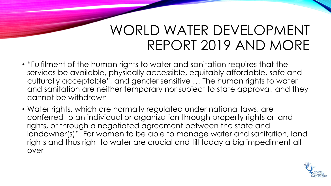#### WORLD WATER DEVELOPMENT REPORT 2019 AND MORE

- "Fulfilment of the human rights to water and sanitation requires that the services be available, physically accessible, equitably affordable, safe and culturally acceptable", and gender sensitive … The human rights to water and sanitation are neither temporary nor subject to state approval, and they cannot be withdrawn
- Water rights, which are normally regulated under national laws, are conferred to an individual or organization through property rights or land rights, or through a negotiated agreement between the state and landowner(s)". For women to be able to manage water and sanitation, land rights and thus right to water are crucial and till today a big impediment all over

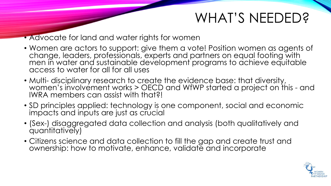#### WHAT'S NEEDED?

• Advocate for land and water rights for women

- Women are actors to support: give them a vote! Position women as agents of change, leaders, professionals, experts and partners on equal footing with men in water and sustainable development programs to achieve equitable access to water for all for all uses
- Multi- disciplinary research to create the evidence base: that diversity, women's involvement works > OECD and WfWP started a project on this - and IWRA members can assist with that?!
- SD principles applied: technology is one component, social and economic impacts and inputs are just as crucial
- (Sex-) disaggregated data collection and analysis (both qualitatively and quantitatively)
- Citizens science and data collection to fill the gap and create trust and ownership: how to motivate, enhance, validate and incorporate

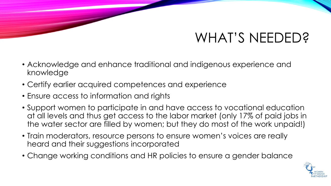### WHAT'S NEEDED?

- Acknowledge and enhance traditional and indigenous experience and knowledge
- Certify earlier acquired competences and experience
- Ensure access to information and rights
- Support women to participate in and have access to vocational education at all levels and thus get access to the labor market (only 17% of paid jobs in the water sector are filled by women; but they do most of the work unpaid!)
- Train moderators, resource persons to ensure women's voices are really heard and their suggestions incorporated
- Change working conditions and HR policies to ensure a gender balance